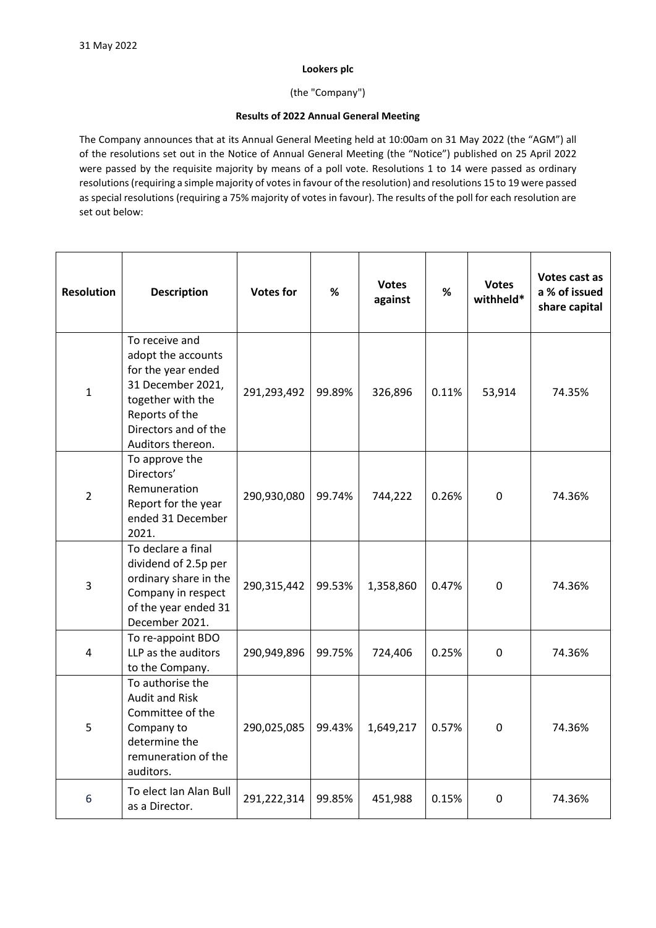## **Lookers plc**

(the "Company")

## **Results of 2022 Annual General Meeting**

The Company announces that at its Annual General Meeting held at 10:00am on 31 May 2022 (the "AGM") all of the resolutions set out in the Notice of Annual General Meeting (the "Notice") published on 25 April 2022 were passed by the requisite majority by means of a poll vote. Resolutions 1 to 14 were passed as ordinary resolutions (requiring a simple majority of votes in favour of the resolution) and resolutions 15 to 19 were passed as special resolutions (requiring a 75% majority of votes in favour). The results of the poll for each resolution are set out below:

| <b>Resolution</b> | <b>Description</b>                                                                                                                                                  | <b>Votes for</b> | %      | <b>Votes</b><br>against | %     | <b>Votes</b><br>withheld* | Votes cast as<br>a % of issued<br>share capital |
|-------------------|---------------------------------------------------------------------------------------------------------------------------------------------------------------------|------------------|--------|-------------------------|-------|---------------------------|-------------------------------------------------|
| $\mathbf 1$       | To receive and<br>adopt the accounts<br>for the year ended<br>31 December 2021,<br>together with the<br>Reports of the<br>Directors and of the<br>Auditors thereon. | 291,293,492      | 99.89% | 326,896                 | 0.11% | 53,914                    | 74.35%                                          |
| $\overline{2}$    | To approve the<br>Directors'<br>Remuneration<br>Report for the year<br>ended 31 December<br>2021.                                                                   | 290,930,080      | 99.74% | 744,222                 | 0.26% | $\mathbf 0$               | 74.36%                                          |
| $\overline{3}$    | To declare a final<br>dividend of 2.5p per<br>ordinary share in the<br>Company in respect<br>of the year ended 31<br>December 2021.                                 | 290,315,442      | 99.53% | 1,358,860               | 0.47% | $\overline{0}$            | 74.36%                                          |
| 4                 | To re-appoint BDO<br>LLP as the auditors<br>to the Company.                                                                                                         | 290,949,896      | 99.75% | 724,406                 | 0.25% | 0                         | 74.36%                                          |
| 5                 | To authorise the<br><b>Audit and Risk</b><br>Committee of the<br>Company to<br>determine the<br>remuneration of the<br>auditors.                                    | 290,025,085      | 99.43% | 1,649,217               | 0.57% | 0                         | 74.36%                                          |
| 6                 | To elect Ian Alan Bull<br>as a Director.                                                                                                                            | 291,222,314      | 99.85% | 451,988                 | 0.15% | 0                         | 74.36%                                          |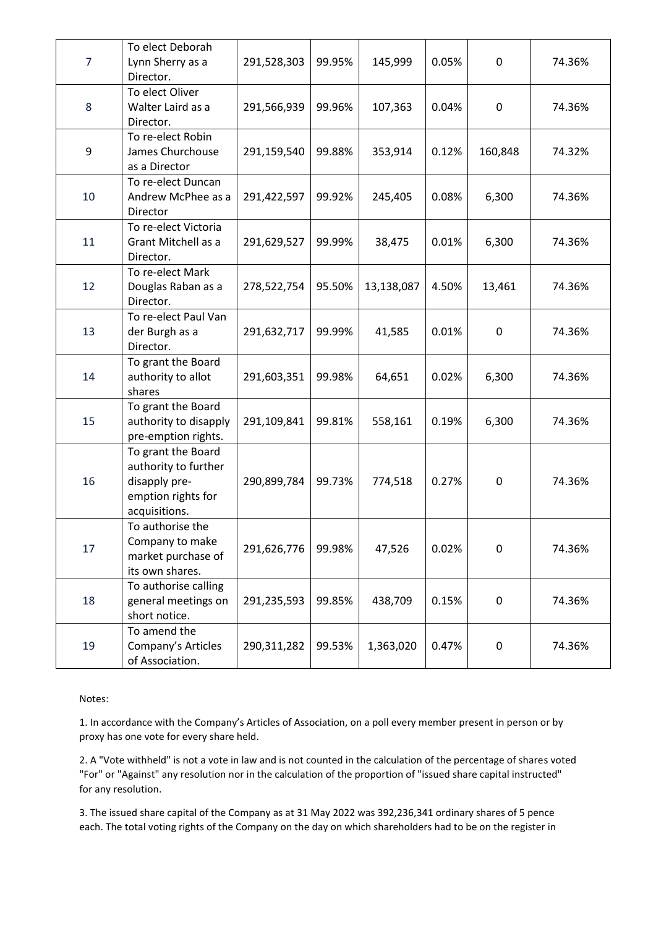| $\overline{7}$ | To elect Deborah<br>Lynn Sherry as a<br>Director.                                                  | 291,528,303   | 99.95% | 145,999    | 0.05% | 0                | 74.36% |
|----------------|----------------------------------------------------------------------------------------------------|---------------|--------|------------|-------|------------------|--------|
| 8              | To elect Oliver<br>Walter Laird as a<br>Director.                                                  | 291,566,939   | 99.96% | 107,363    | 0.04% | $\mathbf 0$      | 74.36% |
| 9              | To re-elect Robin<br>James Churchouse<br>as a Director                                             | 291,159,540   | 99.88% | 353,914    | 0.12% | 160,848          | 74.32% |
| 10             | To re-elect Duncan<br>Andrew McPhee as a<br>Director                                               | 291,422,597   | 99.92% | 245,405    | 0.08% | 6,300            | 74.36% |
| 11             | To re-elect Victoria<br>Grant Mitchell as a<br>Director.                                           | 291,629,527   | 99.99% | 38,475     | 0.01% | 6,300            | 74.36% |
| 12             | To re-elect Mark<br>Douglas Raban as a<br>Director.                                                | 278,522,754   | 95.50% | 13,138,087 | 4.50% | 13,461           | 74.36% |
| 13             | To re-elect Paul Van<br>der Burgh as a<br>Director.                                                | 291,632,717   | 99.99% | 41,585     | 0.01% | $\boldsymbol{0}$ | 74.36% |
| 14             | To grant the Board<br>authority to allot<br>shares                                                 | 291,603,351   | 99.98% | 64,651     | 0.02% | 6,300            | 74.36% |
| 15             | To grant the Board<br>authority to disapply<br>pre-emption rights.                                 | 291,109,841   | 99.81% | 558,161    | 0.19% | 6,300            | 74.36% |
| 16             | To grant the Board<br>authority to further<br>disapply pre-<br>emption rights for<br>acquisitions. | 290,899,784   | 99.73% | 774,518    | 0.27% | 0                | 74.36% |
| 17             | To authorise the<br>Company to make<br>market purchase of<br>its own shares.                       | 291,626,776   | 99.98% | 47,526     | 0.02% | 0                | 74.36% |
| 18             | To authorise calling<br>general meetings on<br>short notice.                                       | 291,235,593   | 99.85% | 438,709    | 0.15% | 0                | 74.36% |
| 19             | To amend the<br>Company's Articles<br>of Association.                                              | 290, 311, 282 | 99.53% | 1,363,020  | 0.47% | 0                | 74.36% |

Notes:

1. In accordance with the Company's Articles of Association, on a poll every member present in person or by proxy has one vote for every share held.

2. A "Vote withheld" is not a vote in law and is not counted in the calculation of the percentage of shares voted "For" or "Against" any resolution nor in the calculation of the proportion of "issued share capital instructed" for any resolution.

3. The issued share capital of the Company as at 31 May 2022 was 392,236,341 ordinary shares of 5 pence each. The total voting rights of the Company on the day on which shareholders had to be on the register in